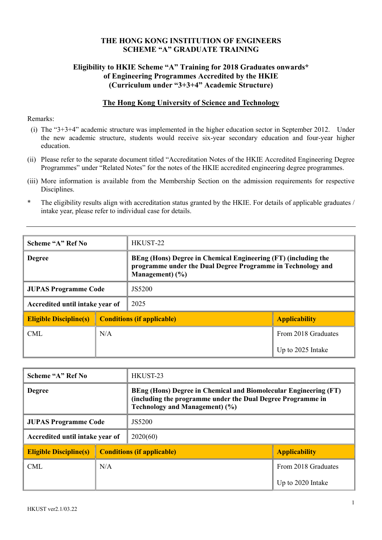#### THE HONG KONG INSTITUTION OF ENGINEERS SCHEME "A" GRADUATE TRAINING

#### Eligibility to HKIE Scheme "A" Training for 2018 Graduates onwards\* of Engineering Programmes Accredited by the HKIE (Curriculum under "3+3+4" Academic Structure)

#### The Hong Kong University of Science and Technology

#### Remarks:

- (i) The "3+3+4" academic structure was implemented in the higher education sector in September 2012. Under the new academic structure, students would receive six-year secondary education and four-year higher education.
- (ii) Please refer to the separate document titled "Accreditation Notes of the HKIE Accredited Engineering Degree Programmes" under "Related Notes" for the notes of the HKIE accredited engineering degree programmes.
- (iii) More information is available from the Membership Section on the admission requirements for respective Disciplines.

| The eligibility results align with accreditation status granted by the HKIE. For details of applicable graduates / |
|--------------------------------------------------------------------------------------------------------------------|
| intake year, please refer to individual case for details.                                                          |

| Scheme "A" Ref No               |     | HKUST-22                                                                                                                                            |                      |
|---------------------------------|-----|-----------------------------------------------------------------------------------------------------------------------------------------------------|----------------------|
| <b>Degree</b>                   |     | BEng (Hons) Degree in Chemical Engineering (FT) (including the<br>programme under the Dual Degree Programme in Technology and<br>Management $)$ (%) |                      |
| <b>JUPAS Programme Code</b>     |     | JS5200                                                                                                                                              |                      |
| Accredited until intake year of |     | 2025                                                                                                                                                |                      |
| <b>Eligible Discipline(s)</b>   |     | <b>Conditions (if applicable)</b>                                                                                                                   | <b>Applicability</b> |
| <b>CML</b>                      | N/A |                                                                                                                                                     | From 2018 Graduates  |
|                                 |     |                                                                                                                                                     | Up to 2025 Intake    |

| Scheme "A" Ref No               |     | HKUST-23                                                                                                                                                                 |                      |
|---------------------------------|-----|--------------------------------------------------------------------------------------------------------------------------------------------------------------------------|----------------------|
| <b>Degree</b>                   |     | BEng (Hons) Degree in Chemical and Biomolecular Engineering (FT)<br>(including the programme under the Dual Degree Programme in<br><b>Technology and Management) (%)</b> |                      |
| <b>JUPAS Programme Code</b>     |     | JS5200                                                                                                                                                                   |                      |
| Accredited until intake year of |     | 2020(60)                                                                                                                                                                 |                      |
| <b>Eligible Discipline(s)</b>   |     | <b>Conditions (if applicable)</b>                                                                                                                                        | <b>Applicability</b> |
| <b>CML</b>                      | N/A |                                                                                                                                                                          | From 2018 Graduates  |
|                                 |     |                                                                                                                                                                          | Up to 2020 Intake    |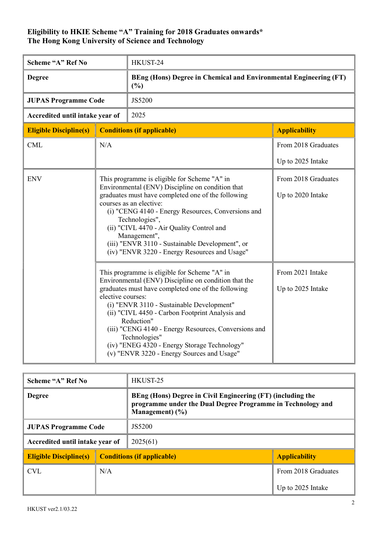| Scheme "A" Ref No               |                   | HKUST-24                                                                                                                                                                                                                                                                                                                                                                                                                                        |                                          |
|---------------------------------|-------------------|-------------------------------------------------------------------------------------------------------------------------------------------------------------------------------------------------------------------------------------------------------------------------------------------------------------------------------------------------------------------------------------------------------------------------------------------------|------------------------------------------|
| <b>Degree</b>                   |                   | BEng (Hons) Degree in Chemical and Environmental Engineering (FT)<br>(%)                                                                                                                                                                                                                                                                                                                                                                        |                                          |
| <b>JUPAS Programme Code</b>     |                   | JS5200                                                                                                                                                                                                                                                                                                                                                                                                                                          |                                          |
| Accredited until intake year of |                   | 2025                                                                                                                                                                                                                                                                                                                                                                                                                                            |                                          |
| <b>Eligible Discipline(s)</b>   |                   | <b>Conditions (if applicable)</b>                                                                                                                                                                                                                                                                                                                                                                                                               | <b>Applicability</b>                     |
| <b>CML</b>                      | N/A               |                                                                                                                                                                                                                                                                                                                                                                                                                                                 | From 2018 Graduates                      |
|                                 |                   |                                                                                                                                                                                                                                                                                                                                                                                                                                                 | Up to 2025 Intake                        |
| <b>ENV</b>                      |                   | This programme is eligible for Scheme "A" in<br>Environmental (ENV) Discipline on condition that<br>graduates must have completed one of the following<br>courses as an elective:<br>(i) "CENG 4140 - Energy Resources, Conversions and<br>Technologies",<br>(ii) "CIVL 4470 - Air Quality Control and<br>Management",<br>(iii) "ENVR 3110 - Sustainable Development", or<br>(iv) "ENVR 3220 - Energy Resources and Usage"                      | From 2018 Graduates<br>Up to 2020 Intake |
|                                 | elective courses: | This programme is eligible for Scheme "A" in<br>Environmental (ENV) Discipline on condition that the<br>graduates must have completed one of the following<br>(i) "ENVR 3110 - Sustainable Development"<br>(ii) "CIVL 4450 - Carbon Footprint Analysis and<br>Reduction"<br>(iii) "CENG 4140 - Energy Resources, Conversions and<br>Technologies"<br>(iv) "ENEG 4320 - Energy Storage Technology"<br>(v) "ENVR 3220 - Energy Sources and Usage" | From 2021 Intake<br>Up to 2025 Intake    |

| Scheme "A" Ref No               |                                   | HKUST-25                                                                                                                                         |                      |
|---------------------------------|-----------------------------------|--------------------------------------------------------------------------------------------------------------------------------------------------|----------------------|
| <b>Degree</b>                   |                                   | BEng (Hons) Degree in Civil Engineering (FT) (including the<br>programme under the Dual Degree Programme in Technology and<br>Management $)$ (%) |                      |
| <b>JUPAS Programme Code</b>     |                                   | JS5200                                                                                                                                           |                      |
| Accredited until intake year of |                                   | 2025(61)                                                                                                                                         |                      |
| <b>Eligible Discipline(s)</b>   | <b>Conditions (if applicable)</b> |                                                                                                                                                  | <b>Applicability</b> |
| <b>CVL</b>                      | N/A                               |                                                                                                                                                  | From 2018 Graduates  |
|                                 |                                   |                                                                                                                                                  | Up to 2025 Intake    |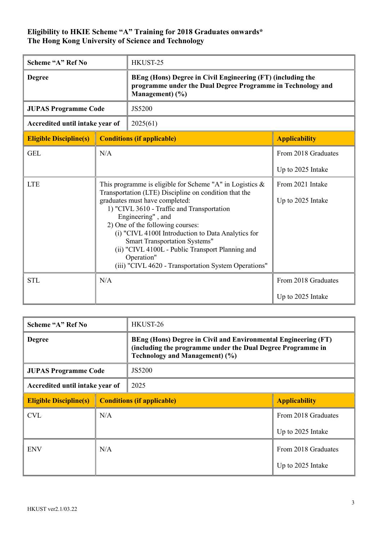| Scheme "A" Ref No               |                                                                                                                                                                                                                                                                                                                                                                                                                                                                                | HKUST-25                                                                                                                                      |                                          |
|---------------------------------|--------------------------------------------------------------------------------------------------------------------------------------------------------------------------------------------------------------------------------------------------------------------------------------------------------------------------------------------------------------------------------------------------------------------------------------------------------------------------------|-----------------------------------------------------------------------------------------------------------------------------------------------|------------------------------------------|
| <b>Degree</b>                   |                                                                                                                                                                                                                                                                                                                                                                                                                                                                                | BEng (Hons) Degree in Civil Engineering (FT) (including the<br>programme under the Dual Degree Programme in Technology and<br>Management) (%) |                                          |
| <b>JUPAS Programme Code</b>     |                                                                                                                                                                                                                                                                                                                                                                                                                                                                                | JS5200                                                                                                                                        |                                          |
| Accredited until intake year of |                                                                                                                                                                                                                                                                                                                                                                                                                                                                                | 2025(61)                                                                                                                                      |                                          |
| <b>Eligible Discipline(s)</b>   |                                                                                                                                                                                                                                                                                                                                                                                                                                                                                | <b>Conditions (if applicable)</b>                                                                                                             | <b>Applicability</b>                     |
| <b>GEL</b>                      | N/A                                                                                                                                                                                                                                                                                                                                                                                                                                                                            |                                                                                                                                               | From 2018 Graduates<br>Up to 2025 Intake |
| <b>LTE</b>                      | This programme is eligible for Scheme "A" in Logistics $\&$<br>Transportation (LTE) Discipline on condition that the<br>graduates must have completed:<br>1) "CIVL 3610 - Traffic and Transportation<br>Engineering", and<br>2) One of the following courses:<br>(i) "CIVL 4100I Introduction to Data Analytics for<br>Smart Transportation Systems"<br>(ii) "CIVL 4100L - Public Transport Planning and<br>Operation"<br>(iii) "CIVL 4620 - Transportation System Operations" |                                                                                                                                               | From 2021 Intake<br>Up to 2025 Intake    |
| <b>STL</b>                      | N/A                                                                                                                                                                                                                                                                                                                                                                                                                                                                            |                                                                                                                                               | From 2018 Graduates<br>Up to 2025 Intake |

| Scheme "A" Ref No               |     | HKUST-26                                                                                                                                                        |                      |
|---------------------------------|-----|-----------------------------------------------------------------------------------------------------------------------------------------------------------------|----------------------|
| <b>Degree</b>                   |     | BEng (Hons) Degree in Civil and Environmental Engineering (FT)<br>(including the programme under the Dual Degree Programme in<br>Technology and Management) (%) |                      |
| <b>JUPAS Programme Code</b>     |     | JS5200                                                                                                                                                          |                      |
| Accredited until intake year of |     | 2025                                                                                                                                                            |                      |
| <b>Eligible Discipline(s)</b>   |     | <b>Conditions (if applicable)</b>                                                                                                                               | <b>Applicability</b> |
| <b>CVL</b>                      | N/A |                                                                                                                                                                 | From 2018 Graduates  |
|                                 |     |                                                                                                                                                                 | Up to 2025 Intake    |
| N/A<br><b>ENV</b>               |     |                                                                                                                                                                 | From 2018 Graduates  |
|                                 |     |                                                                                                                                                                 | Up to 2025 Intake    |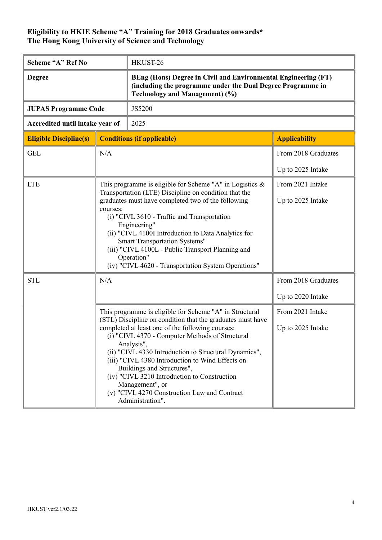| Scheme "A" Ref No               |     | HKUST-26                                                                                                                                                                                                                                                                                                                                                                                                                                                                                                                     |                                       |
|---------------------------------|-----|------------------------------------------------------------------------------------------------------------------------------------------------------------------------------------------------------------------------------------------------------------------------------------------------------------------------------------------------------------------------------------------------------------------------------------------------------------------------------------------------------------------------------|---------------------------------------|
| <b>Degree</b>                   |     | BEng (Hons) Degree in Civil and Environmental Engineering (FT)<br>(including the programme under the Dual Degree Programme in<br><b>Technology and Management) (%)</b>                                                                                                                                                                                                                                                                                                                                                       |                                       |
| <b>JUPAS Programme Code</b>     |     | JS5200                                                                                                                                                                                                                                                                                                                                                                                                                                                                                                                       |                                       |
| Accredited until intake year of |     | 2025                                                                                                                                                                                                                                                                                                                                                                                                                                                                                                                         |                                       |
| <b>Eligible Discipline(s)</b>   |     | <b>Conditions (if applicable)</b>                                                                                                                                                                                                                                                                                                                                                                                                                                                                                            | <b>Applicability</b>                  |
| <b>GEL</b>                      | N/A |                                                                                                                                                                                                                                                                                                                                                                                                                                                                                                                              | From 2018 Graduates                   |
|                                 |     |                                                                                                                                                                                                                                                                                                                                                                                                                                                                                                                              | Up to 2025 Intake                     |
| <b>LTE</b>                      |     | This programme is eligible for Scheme "A" in Logistics &                                                                                                                                                                                                                                                                                                                                                                                                                                                                     | From 2021 Intake                      |
| courses:                        |     | Transportation (LTE) Discipline on condition that the<br>graduates must have completed two of the following<br>(i) "CIVL 3610 - Traffic and Transportation<br>Engineering"<br>(ii) "CIVL 4100I Introduction to Data Analytics for<br><b>Smart Transportation Systems"</b><br>(iii) "CIVL 4100L - Public Transport Planning and<br>Operation"<br>(iv) "CIVL 4620 - Transportation System Operations"                                                                                                                          | Up to 2025 Intake                     |
| <b>STL</b>                      | N/A |                                                                                                                                                                                                                                                                                                                                                                                                                                                                                                                              | From 2018 Graduates                   |
|                                 |     |                                                                                                                                                                                                                                                                                                                                                                                                                                                                                                                              | Up to 2020 Intake                     |
|                                 |     | This programme is eligible for Scheme "A" in Structural<br>(STL) Discipline on condition that the graduates must have<br>completed at least one of the following courses:<br>(i) "CIVL 4370 - Computer Methods of Structural<br>Analysis",<br>(ii) "CIVL 4330 Introduction to Structural Dynamics",<br>(iii) "CIVL 4380 Introduction to Wind Effects on<br>Buildings and Structures",<br>(iv) "CIVL 3210 Introduction to Construction<br>Management", or<br>(v) "CIVL 4270 Construction Law and Contract<br>Administration". | From 2021 Intake<br>Up to 2025 Intake |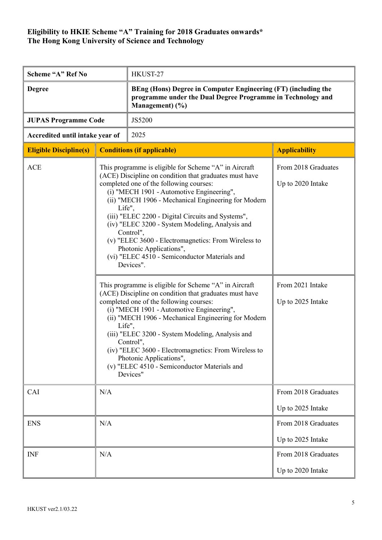| Scheme "A" Ref No               |     | HKUST-27                                                                                                                                                                                                                                                                                                                                                                                                                                                                                                                                                                                                                                                                                                                                                                                                                                                                                                                       |                                                                                   |
|---------------------------------|-----|--------------------------------------------------------------------------------------------------------------------------------------------------------------------------------------------------------------------------------------------------------------------------------------------------------------------------------------------------------------------------------------------------------------------------------------------------------------------------------------------------------------------------------------------------------------------------------------------------------------------------------------------------------------------------------------------------------------------------------------------------------------------------------------------------------------------------------------------------------------------------------------------------------------------------------|-----------------------------------------------------------------------------------|
| <b>Degree</b>                   |     | BEng (Hons) Degree in Computer Engineering (FT) (including the<br>programme under the Dual Degree Programme in Technology and<br>Management) (%)                                                                                                                                                                                                                                                                                                                                                                                                                                                                                                                                                                                                                                                                                                                                                                               |                                                                                   |
| <b>JUPAS Programme Code</b>     |     | JS5200                                                                                                                                                                                                                                                                                                                                                                                                                                                                                                                                                                                                                                                                                                                                                                                                                                                                                                                         |                                                                                   |
| Accredited until intake year of |     | 2025                                                                                                                                                                                                                                                                                                                                                                                                                                                                                                                                                                                                                                                                                                                                                                                                                                                                                                                           |                                                                                   |
| <b>Eligible Discipline(s)</b>   |     | <b>Conditions (if applicable)</b>                                                                                                                                                                                                                                                                                                                                                                                                                                                                                                                                                                                                                                                                                                                                                                                                                                                                                              | <b>Applicability</b>                                                              |
| <b>ACE</b><br>Life",<br>Life",  |     | This programme is eligible for Scheme "A" in Aircraft<br>(ACE) Discipline on condition that graduates must have<br>completed one of the following courses:<br>(i) "MECH 1901 - Automotive Engineering",<br>(ii) "MECH 1906 - Mechanical Engineering for Modern<br>(iii) "ELEC 2200 - Digital Circuits and Systems",<br>(iv) "ELEC 3200 - System Modeling, Analysis and<br>Control",<br>(v) "ELEC 3600 - Electromagnetics: From Wireless to<br>Photonic Applications",<br>(vi) "ELEC 4510 - Semiconductor Materials and<br>Devices".<br>This programme is eligible for Scheme "A" in Aircraft<br>(ACE) Discipline on condition that graduates must have<br>completed one of the following courses:<br>(i) "MECH 1901 - Automotive Engineering",<br>(ii) "MECH 1906 - Mechanical Engineering for Modern<br>(iii) "ELEC 3200 - System Modeling, Analysis and<br>Control",<br>(iv) "ELEC 3600 - Electromagnetics: From Wireless to | From 2018 Graduates<br>Up to 2020 Intake<br>From 2021 Intake<br>Up to 2025 Intake |
| CAI<br>N/A                      |     | Photonic Applications",<br>(v) "ELEC 4510 - Semiconductor Materials and<br>Devices"                                                                                                                                                                                                                                                                                                                                                                                                                                                                                                                                                                                                                                                                                                                                                                                                                                            | From 2018 Graduates                                                               |
|                                 |     |                                                                                                                                                                                                                                                                                                                                                                                                                                                                                                                                                                                                                                                                                                                                                                                                                                                                                                                                | Up to 2025 Intake                                                                 |
| <b>ENS</b>                      | N/A |                                                                                                                                                                                                                                                                                                                                                                                                                                                                                                                                                                                                                                                                                                                                                                                                                                                                                                                                | From 2018 Graduates                                                               |
|                                 |     |                                                                                                                                                                                                                                                                                                                                                                                                                                                                                                                                                                                                                                                                                                                                                                                                                                                                                                                                | Up to 2025 Intake                                                                 |
| <b>INF</b>                      | N/A |                                                                                                                                                                                                                                                                                                                                                                                                                                                                                                                                                                                                                                                                                                                                                                                                                                                                                                                                | From 2018 Graduates                                                               |
|                                 |     |                                                                                                                                                                                                                                                                                                                                                                                                                                                                                                                                                                                                                                                                                                                                                                                                                                                                                                                                | Up to 2020 Intake                                                                 |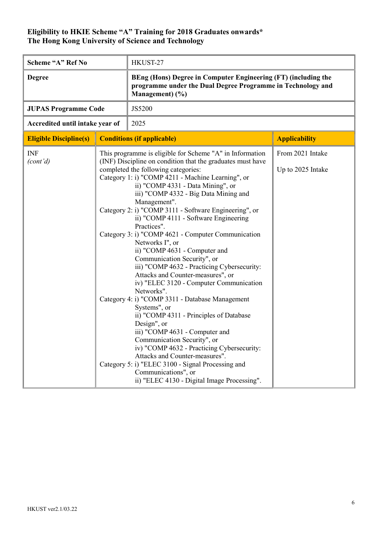| Scheme "A" Ref No               |  | HKUST-27                                                                                                                                                                                                                                                                                                                                                                                                                                                                                                                                                                                                                                                                                                                                                                                                                                                                                                                                                                                                                                                                                                                         |                                       |
|---------------------------------|--|----------------------------------------------------------------------------------------------------------------------------------------------------------------------------------------------------------------------------------------------------------------------------------------------------------------------------------------------------------------------------------------------------------------------------------------------------------------------------------------------------------------------------------------------------------------------------------------------------------------------------------------------------------------------------------------------------------------------------------------------------------------------------------------------------------------------------------------------------------------------------------------------------------------------------------------------------------------------------------------------------------------------------------------------------------------------------------------------------------------------------------|---------------------------------------|
| <b>Degree</b>                   |  | BEng (Hons) Degree in Computer Engineering (FT) (including the<br>programme under the Dual Degree Programme in Technology and<br>Management) (%)                                                                                                                                                                                                                                                                                                                                                                                                                                                                                                                                                                                                                                                                                                                                                                                                                                                                                                                                                                                 |                                       |
| <b>JUPAS Programme Code</b>     |  | JS5200                                                                                                                                                                                                                                                                                                                                                                                                                                                                                                                                                                                                                                                                                                                                                                                                                                                                                                                                                                                                                                                                                                                           |                                       |
| Accredited until intake year of |  | 2025                                                                                                                                                                                                                                                                                                                                                                                                                                                                                                                                                                                                                                                                                                                                                                                                                                                                                                                                                                                                                                                                                                                             |                                       |
| <b>Eligible Discipline(s)</b>   |  | <b>Conditions (if applicable)</b>                                                                                                                                                                                                                                                                                                                                                                                                                                                                                                                                                                                                                                                                                                                                                                                                                                                                                                                                                                                                                                                                                                | <b>Applicability</b>                  |
| <b>INF</b><br>(cont'd)          |  | This programme is eligible for Scheme "A" in Information<br>(INF) Discipline on condition that the graduates must have<br>completed the following categories:<br>Category 1: i) "COMP 4211 - Machine Learning", or<br>ii) "COMP 4331 - Data Mining", or<br>iii) "COMP 4332 - Big Data Mining and<br>Management".<br>Category 2: i) "COMP 3111 - Software Engineering", or<br>ii) "COMP 4111 - Software Engineering<br>Practices".<br>Category 3: i) "COMP 4621 - Computer Communication<br>Networks I", or<br>ii) "COMP 4631 - Computer and<br>Communication Security", or<br>iii) "COMP 4632 - Practicing Cybersecurity:<br>Attacks and Counter-measures", or<br>iv) "ELEC 3120 - Computer Communication<br>Networks".<br>Category 4: i) "COMP 3311 - Database Management<br>Systems", or<br>ii) "COMP 4311 - Principles of Database<br>Design", or<br>iii) "COMP 4631 - Computer and<br>Communication Security", or<br>iv) "COMP 4632 - Practicing Cybersecurity:<br>Attacks and Counter-measures".<br>Category 5: i) "ELEC 3100 - Signal Processing and<br>Communications", or<br>ii) "ELEC 4130 - Digital Image Processing". | From 2021 Intake<br>Up to 2025 Intake |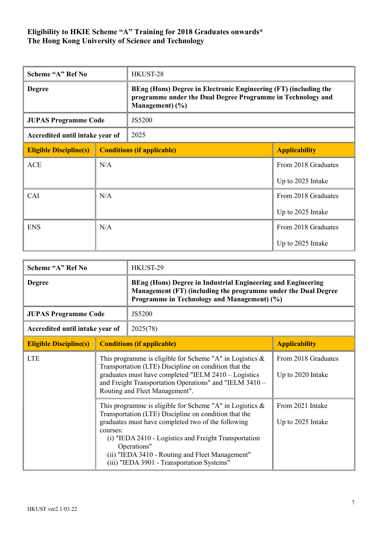| Scheme "A" Ref No               |     | HKUST-28                                                                                                                                              |                      |
|---------------------------------|-----|-------------------------------------------------------------------------------------------------------------------------------------------------------|----------------------|
| <b>Degree</b>                   |     | BEng (Hons) Degree in Electronic Engineering (FT) (including the<br>programme under the Dual Degree Programme in Technology and<br>Management $)$ (%) |                      |
| <b>JUPAS Programme Code</b>     |     | JS5200                                                                                                                                                |                      |
| Accredited until intake year of |     | 2025                                                                                                                                                  |                      |
| <b>Eligible Discipline(s)</b>   |     | <b>Conditions (if applicable)</b>                                                                                                                     | <b>Applicability</b> |
| <b>ACE</b>                      | N/A |                                                                                                                                                       | From 2018 Graduates  |
|                                 |     |                                                                                                                                                       | Up to 2025 Intake    |
| CAI                             | N/A |                                                                                                                                                       | From 2018 Graduates  |
|                                 |     |                                                                                                                                                       | Up to 2025 Intake    |
| <b>ENS</b>                      | N/A |                                                                                                                                                       | From 2018 Graduates  |
|                                 |     |                                                                                                                                                       | Up to 2025 Intake    |

| Scheme "A" Ref No               |                                   | HKUST-29                                                                                                                                                                                                                                                                                                                                            |                                          |
|---------------------------------|-----------------------------------|-----------------------------------------------------------------------------------------------------------------------------------------------------------------------------------------------------------------------------------------------------------------------------------------------------------------------------------------------------|------------------------------------------|
| <b>Degree</b>                   |                                   | BEng (Hons) Degree in Industrial Engineering and Engineering<br>Management (FT) (including the programme under the Dual Degree<br>Programme in Technology and Management) (%)                                                                                                                                                                       |                                          |
| <b>JUPAS Programme Code</b>     |                                   | JS5200                                                                                                                                                                                                                                                                                                                                              |                                          |
| Accredited until intake year of |                                   | 2025(78)                                                                                                                                                                                                                                                                                                                                            |                                          |
| <b>Eligible Discipline(s)</b>   | <b>Conditions (if applicable)</b> |                                                                                                                                                                                                                                                                                                                                                     | <b>Applicability</b>                     |
| <b>LTE</b>                      |                                   | This programme is eligible for Scheme "A" in Logistics $\&$<br>Transportation (LTE) Discipline on condition that the<br>graduates must have completed "IELM 2410 - Logistics<br>and Freight Transportation Operations" and "IELM 3410 -<br>Routing and Fleet Management".                                                                           | From 2018 Graduates<br>Up to 2020 Intake |
|                                 | courses:                          | This programme is eligible for Scheme "A" in Logistics $\&$<br>Transportation (LTE) Discipline on condition that the<br>graduates must have completed two of the following<br>(i) "IEDA 2410 - Logistics and Freight Transportation<br>Operations"<br>(ii) "IEDA 3410 - Routing and Fleet Management"<br>(iii) "IEDA 3901 - Transportation Systems" | From 2021 Intake<br>Up to 2025 Intake    |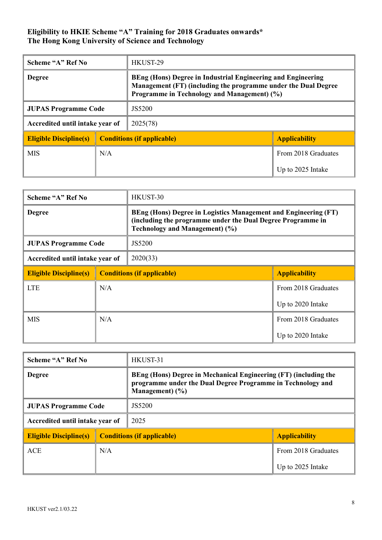| Scheme "A" Ref No               |     | HKUST-29                                                                                                                                                                             |                      |
|---------------------------------|-----|--------------------------------------------------------------------------------------------------------------------------------------------------------------------------------------|----------------------|
| <b>Degree</b>                   |     | <b>BEng (Hons) Degree in Industrial Engineering and Engineering</b><br>Management (FT) (including the programme under the Dual Degree<br>Programme in Technology and Management) (%) |                      |
| <b>JUPAS Programme Code</b>     |     | JS5200                                                                                                                                                                               |                      |
| Accredited until intake year of |     | 2025(78)                                                                                                                                                                             |                      |
| <b>Eligible Discipline(s)</b>   |     | <b>Conditions (if applicable)</b>                                                                                                                                                    | <b>Applicability</b> |
| <b>MIS</b>                      | N/A |                                                                                                                                                                                      | From 2018 Graduates  |
|                                 |     |                                                                                                                                                                                      | Up to 2025 Intake    |

| Scheme "A" Ref No               |     | HKUST-30                                                                                                                                                                |                      |
|---------------------------------|-----|-------------------------------------------------------------------------------------------------------------------------------------------------------------------------|----------------------|
| <b>Degree</b>                   |     | BEng (Hons) Degree in Logistics Management and Engineering (FT)<br>(including the programme under the Dual Degree Programme in<br><b>Technology and Management) (%)</b> |                      |
| <b>JUPAS Programme Code</b>     |     | JS5200                                                                                                                                                                  |                      |
| Accredited until intake year of |     | 2020(33)                                                                                                                                                                |                      |
| <b>Eligible Discipline(s)</b>   |     | <b>Conditions (if applicable)</b>                                                                                                                                       | <b>Applicability</b> |
| <b>LTE</b>                      | N/A |                                                                                                                                                                         | From 2018 Graduates  |
|                                 |     |                                                                                                                                                                         | Up to 2020 Intake    |
| <b>MIS</b>                      | N/A |                                                                                                                                                                         | From 2018 Graduates  |
|                                 |     |                                                                                                                                                                         | Up to 2020 Intake    |

| Scheme "A" Ref No               |                                   | HKUST-31                                                                                                                                              |                      |
|---------------------------------|-----------------------------------|-------------------------------------------------------------------------------------------------------------------------------------------------------|----------------------|
| <b>Degree</b>                   |                                   | BEng (Hons) Degree in Mechanical Engineering (FT) (including the<br>programme under the Dual Degree Programme in Technology and<br>Management $)$ (%) |                      |
| <b>JUPAS Programme Code</b>     |                                   | JS5200                                                                                                                                                |                      |
| Accredited until intake year of |                                   | 2025                                                                                                                                                  |                      |
| <b>Eligible Discipline(s)</b>   | <b>Conditions (if applicable)</b> |                                                                                                                                                       | <b>Applicability</b> |
| <b>ACE</b>                      | N/A                               |                                                                                                                                                       | From 2018 Graduates  |
|                                 |                                   |                                                                                                                                                       | Up to 2025 Intake    |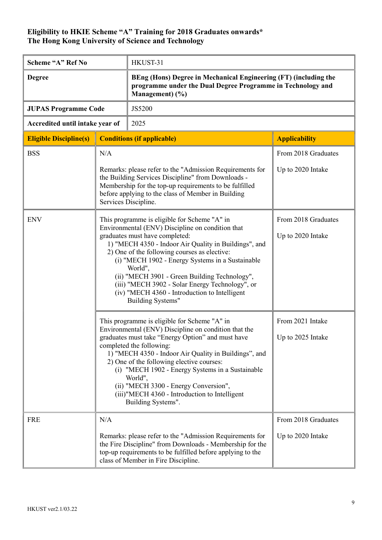| Scheme "A" Ref No               |                                                                                                                                                                                                                                                                                                                                                                                                                                                                                             | HKUST-31                                                                                                                                           |                                          |
|---------------------------------|---------------------------------------------------------------------------------------------------------------------------------------------------------------------------------------------------------------------------------------------------------------------------------------------------------------------------------------------------------------------------------------------------------------------------------------------------------------------------------------------|----------------------------------------------------------------------------------------------------------------------------------------------------|------------------------------------------|
| <b>Degree</b>                   |                                                                                                                                                                                                                                                                                                                                                                                                                                                                                             | BEng (Hons) Degree in Mechanical Engineering (FT) (including the<br>programme under the Dual Degree Programme in Technology and<br>Management) (%) |                                          |
| <b>JUPAS Programme Code</b>     |                                                                                                                                                                                                                                                                                                                                                                                                                                                                                             | JS5200                                                                                                                                             |                                          |
| Accredited until intake year of |                                                                                                                                                                                                                                                                                                                                                                                                                                                                                             | 2025                                                                                                                                               |                                          |
| <b>Eligible Discipline(s)</b>   |                                                                                                                                                                                                                                                                                                                                                                                                                                                                                             | <b>Conditions (if applicable)</b>                                                                                                                  | <b>Applicability</b>                     |
| <b>BSS</b>                      | N/A<br>Remarks: please refer to the "Admission Requirements for<br>the Building Services Discipline" from Downloads -<br>Membership for the top-up requirements to be fulfilled<br>before applying to the class of Member in Building<br>Services Discipline.                                                                                                                                                                                                                               |                                                                                                                                                    | From 2018 Graduates<br>Up to 2020 Intake |
| <b>ENV</b>                      | This programme is eligible for Scheme "A" in<br>Environmental (ENV) Discipline on condition that<br>graduates must have completed:<br>1) "MECH 4350 - Indoor Air Quality in Buildings", and<br>2) One of the following courses as elective:<br>(i) "MECH 1902 - Energy Systems in a Sustainable<br>World",<br>(ii) "MECH 3901 - Green Building Technology",<br>(iii) "MECH 3902 - Solar Energy Technology", or<br>(iv) "MECH 4360 - Introduction to Intelligent<br><b>Building Systems"</b> |                                                                                                                                                    | From 2018 Graduates<br>Up to 2020 Intake |
|                                 | This programme is eligible for Scheme "A" in<br>Environmental (ENV) Discipline on condition that the<br>graduates must take "Energy Option" and must have<br>completed the following:<br>1) "MECH 4350 - Indoor Air Quality in Buildings", and<br>2) One of the following elective courses:<br>(i) "MECH 1902 - Energy Systems in a Sustainable<br>World",<br>(ii) "MECH 3300 - Energy Conversion",<br>(iii)"MECH 4360 - Introduction to Intelligent<br>Building Systems".                  |                                                                                                                                                    | From 2021 Intake<br>Up to 2025 Intake    |
| <b>FRE</b>                      | N/A<br>Remarks: please refer to the "Admission Requirements for<br>the Fire Discipline" from Downloads - Membership for the<br>top-up requirements to be fulfilled before applying to the<br>class of Member in Fire Discipline.                                                                                                                                                                                                                                                            |                                                                                                                                                    | From 2018 Graduates<br>Up to 2020 Intake |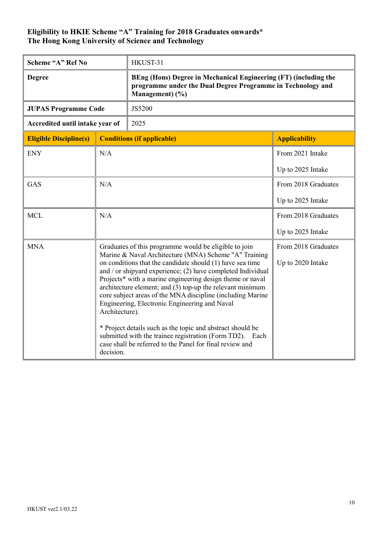| Scheme "A" Ref No               |                                                                                                                                                                                                                                                                                                                                                                                                                                                                                                                                                                                                                                                                                                                 | HKUST-31                                                                                                                                           |                                          |
|---------------------------------|-----------------------------------------------------------------------------------------------------------------------------------------------------------------------------------------------------------------------------------------------------------------------------------------------------------------------------------------------------------------------------------------------------------------------------------------------------------------------------------------------------------------------------------------------------------------------------------------------------------------------------------------------------------------------------------------------------------------|----------------------------------------------------------------------------------------------------------------------------------------------------|------------------------------------------|
| <b>Degree</b>                   |                                                                                                                                                                                                                                                                                                                                                                                                                                                                                                                                                                                                                                                                                                                 | BEng (Hons) Degree in Mechanical Engineering (FT) (including the<br>programme under the Dual Degree Programme in Technology and<br>Management) (%) |                                          |
| <b>JUPAS Programme Code</b>     |                                                                                                                                                                                                                                                                                                                                                                                                                                                                                                                                                                                                                                                                                                                 | JS5200                                                                                                                                             |                                          |
| Accredited until intake year of |                                                                                                                                                                                                                                                                                                                                                                                                                                                                                                                                                                                                                                                                                                                 | 2025                                                                                                                                               |                                          |
| <b>Eligible Discipline(s)</b>   |                                                                                                                                                                                                                                                                                                                                                                                                                                                                                                                                                                                                                                                                                                                 | <b>Conditions (if applicable)</b>                                                                                                                  | <b>Applicability</b>                     |
| <b>ENY</b>                      | N/A                                                                                                                                                                                                                                                                                                                                                                                                                                                                                                                                                                                                                                                                                                             |                                                                                                                                                    | From 2021 Intake                         |
|                                 |                                                                                                                                                                                                                                                                                                                                                                                                                                                                                                                                                                                                                                                                                                                 |                                                                                                                                                    | Up to 2025 Intake                        |
| <b>GAS</b>                      | N/A                                                                                                                                                                                                                                                                                                                                                                                                                                                                                                                                                                                                                                                                                                             |                                                                                                                                                    | From 2018 Graduates                      |
|                                 |                                                                                                                                                                                                                                                                                                                                                                                                                                                                                                                                                                                                                                                                                                                 |                                                                                                                                                    | Up to 2025 Intake                        |
| <b>MCL</b>                      | N/A                                                                                                                                                                                                                                                                                                                                                                                                                                                                                                                                                                                                                                                                                                             |                                                                                                                                                    | From 2018 Graduates                      |
|                                 |                                                                                                                                                                                                                                                                                                                                                                                                                                                                                                                                                                                                                                                                                                                 |                                                                                                                                                    | Up to 2025 Intake                        |
| <b>MNA</b>                      | Graduates of this programme would be eligible to join<br>Marine & Naval Architecture (MNA) Scheme "A" Training<br>on conditions that the candidate should (1) have sea time<br>and $\prime$ or shipyard experience; (2) have completed Individual<br>Projects* with a marine engineering design theme or naval<br>architecture element; and (3) top-up the relevant minimum<br>core subject areas of the MNA discipline (including Marine<br>Engineering, Electronic Engineering and Naval<br>Architecture).<br>* Project details such as the topic and abstract should be<br>submitted with the trainee registration (Form TD2). Each<br>case shall be referred to the Panel for final review and<br>decision. |                                                                                                                                                    | From 2018 Graduates<br>Up to 2020 Intake |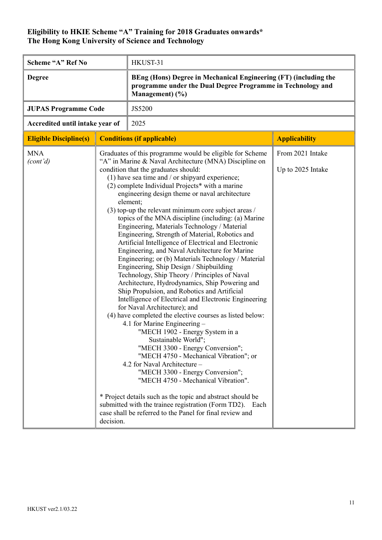| Scheme "A" Ref No               |           | HKUST-31                                                                                                                                                                                                                                                                                                                                                                                                                                                                                                                                                                                                                                                                                                                                                                                                                                                                                                                                                                                                                                                                                                                                                                                                                                                                                                                                                                                                                                                                                                                                          |                                       |
|---------------------------------|-----------|---------------------------------------------------------------------------------------------------------------------------------------------------------------------------------------------------------------------------------------------------------------------------------------------------------------------------------------------------------------------------------------------------------------------------------------------------------------------------------------------------------------------------------------------------------------------------------------------------------------------------------------------------------------------------------------------------------------------------------------------------------------------------------------------------------------------------------------------------------------------------------------------------------------------------------------------------------------------------------------------------------------------------------------------------------------------------------------------------------------------------------------------------------------------------------------------------------------------------------------------------------------------------------------------------------------------------------------------------------------------------------------------------------------------------------------------------------------------------------------------------------------------------------------------------|---------------------------------------|
| <b>Degree</b>                   |           | BEng (Hons) Degree in Mechanical Engineering (FT) (including the<br>programme under the Dual Degree Programme in Technology and<br>Management) (%)                                                                                                                                                                                                                                                                                                                                                                                                                                                                                                                                                                                                                                                                                                                                                                                                                                                                                                                                                                                                                                                                                                                                                                                                                                                                                                                                                                                                |                                       |
| <b>JUPAS Programme Code</b>     |           | JS5200                                                                                                                                                                                                                                                                                                                                                                                                                                                                                                                                                                                                                                                                                                                                                                                                                                                                                                                                                                                                                                                                                                                                                                                                                                                                                                                                                                                                                                                                                                                                            |                                       |
| Accredited until intake year of |           | 2025                                                                                                                                                                                                                                                                                                                                                                                                                                                                                                                                                                                                                                                                                                                                                                                                                                                                                                                                                                                                                                                                                                                                                                                                                                                                                                                                                                                                                                                                                                                                              |                                       |
| <b>Eligible Discipline(s)</b>   |           | <b>Conditions (if applicable)</b>                                                                                                                                                                                                                                                                                                                                                                                                                                                                                                                                                                                                                                                                                                                                                                                                                                                                                                                                                                                                                                                                                                                                                                                                                                                                                                                                                                                                                                                                                                                 | <b>Applicability</b>                  |
| <b>MNA</b><br>(cont'd)          | decision. | Graduates of this programme would be eligible for Scheme<br>"A" in Marine & Naval Architecture (MNA) Discipline on<br>condition that the graduates should:<br>(1) have sea time and $/$ or shipyard experience;<br>(2) complete Individual Projects* with a marine<br>engineering design theme or naval architecture<br>element;<br>$(3)$ top-up the relevant minimum core subject areas /<br>topics of the MNA discipline (including: (a) Marine<br>Engineering, Materials Technology / Material<br>Engineering, Strength of Material, Robotics and<br>Artificial Intelligence of Electrical and Electronic<br>Engineering, and Naval Architecture for Marine<br>Engineering; or (b) Materials Technology / Material<br>Engineering, Ship Design / Shipbuilding<br>Technology, Ship Theory / Principles of Naval<br>Architecture, Hydrodynamics, Ship Powering and<br>Ship Propulsion, and Robotics and Artificial<br>Intelligence of Electrical and Electronic Engineering<br>for Naval Architecture); and<br>(4) have completed the elective courses as listed below:<br>4.1 for Marine Engineering -<br>"MECH 1902 - Energy System in a<br>Sustainable World";<br>"MECH 3300 - Energy Conversion";<br>"MECH 4750 - Mechanical Vibration"; or<br>4.2 for Naval Architecture -<br>"MECH 3300 - Energy Conversion";<br>"MECH 4750 - Mechanical Vibration".<br>* Project details such as the topic and abstract should be<br>submitted with the trainee registration (Form TD2). Each<br>case shall be referred to the Panel for final review and | From 2021 Intake<br>Up to 2025 Intake |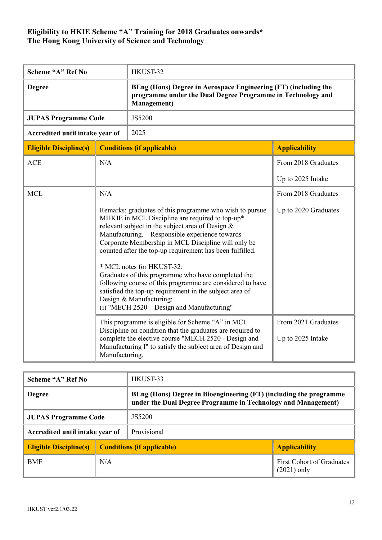| Scheme "A" Ref No               |                                                                                                                                                                                                                                                                                                                                                                                                                                                                                                                                                                                                                          | HKUST-32                                                                                                                                              |                                          |  |
|---------------------------------|--------------------------------------------------------------------------------------------------------------------------------------------------------------------------------------------------------------------------------------------------------------------------------------------------------------------------------------------------------------------------------------------------------------------------------------------------------------------------------------------------------------------------------------------------------------------------------------------------------------------------|-------------------------------------------------------------------------------------------------------------------------------------------------------|------------------------------------------|--|
| <b>Degree</b>                   |                                                                                                                                                                                                                                                                                                                                                                                                                                                                                                                                                                                                                          | BEng (Hons) Degree in Aerospace Engineering (FT) (including the<br>programme under the Dual Degree Programme in Technology and<br><b>Management</b> ) |                                          |  |
| <b>JUPAS Programme Code</b>     |                                                                                                                                                                                                                                                                                                                                                                                                                                                                                                                                                                                                                          | JS5200                                                                                                                                                |                                          |  |
| Accredited until intake year of |                                                                                                                                                                                                                                                                                                                                                                                                                                                                                                                                                                                                                          | 2025                                                                                                                                                  |                                          |  |
| <b>Eligible Discipline(s)</b>   |                                                                                                                                                                                                                                                                                                                                                                                                                                                                                                                                                                                                                          | <b>Conditions (if applicable)</b>                                                                                                                     | <b>Applicability</b>                     |  |
| <b>ACE</b>                      | N/A                                                                                                                                                                                                                                                                                                                                                                                                                                                                                                                                                                                                                      |                                                                                                                                                       | From 2018 Graduates                      |  |
|                                 |                                                                                                                                                                                                                                                                                                                                                                                                                                                                                                                                                                                                                          |                                                                                                                                                       | Up to 2025 Intake                        |  |
| <b>MCL</b>                      | N/A                                                                                                                                                                                                                                                                                                                                                                                                                                                                                                                                                                                                                      |                                                                                                                                                       | From 2018 Graduates                      |  |
|                                 | Remarks: graduates of this programme who wish to pursue<br>MHKIE in MCL Discipline are required to top-up*<br>relevant subject in the subject area of Design &<br>Manufacturing. Responsible experience towards<br>Corporate Membership in MCL Discipline will only be<br>counted after the top-up requirement has been fulfilled.<br>* MCL notes for HKUST-32:<br>Graduates of this programme who have completed the<br>following course of this programme are considered to have<br>satisfied the top-up requirement in the subject area of<br>Design & Manufacturing:<br>$(i)$ "MECH 2520 – Design and Manufacturing" |                                                                                                                                                       | Up to 2020 Graduates                     |  |
|                                 | This programme is eligible for Scheme "A" in MCL<br>Discipline on condition that the graduates are required to<br>complete the elective course "MECH 2520 - Design and<br>Manufacturing I" to satisfy the subject area of Design and<br>Manufacturing.                                                                                                                                                                                                                                                                                                                                                                   |                                                                                                                                                       | From 2021 Graduates<br>Up to 2025 Intake |  |

| Scheme "A" Ref No               |        | HKUST-33                                                                                                                            |                                                   |
|---------------------------------|--------|-------------------------------------------------------------------------------------------------------------------------------------|---------------------------------------------------|
| <b>Degree</b>                   |        | BEng (Hons) Degree in Bioengineering (FT) (including the programme<br>under the Dual Degree Programme in Technology and Management) |                                                   |
| <b>JUPAS Programme Code</b>     | JS5200 |                                                                                                                                     |                                                   |
| Accredited until intake year of |        | Provisional                                                                                                                         |                                                   |
| <b>Eligible Discipline(s)</b>   |        | <b>Conditions (if applicable)</b>                                                                                                   | <b>Applicability</b>                              |
| <b>BME</b>                      | N/A    |                                                                                                                                     | <b>First Cohort of Graduates</b><br>$(2021)$ only |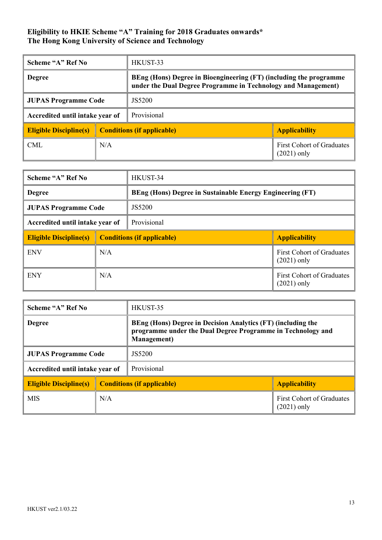| Scheme "A" Ref No               |                                   | HKUST-33                                                                                                                            |                                            |
|---------------------------------|-----------------------------------|-------------------------------------------------------------------------------------------------------------------------------------|--------------------------------------------|
| <b>Degree</b>                   |                                   | BEng (Hons) Degree in Bioengineering (FT) (including the programme<br>under the Dual Degree Programme in Technology and Management) |                                            |
| <b>JUPAS Programme Code</b>     |                                   | JS5200                                                                                                                              |                                            |
| Accredited until intake year of |                                   | Provisional                                                                                                                         |                                            |
| <b>Eligible Discipline(s)</b>   | <b>Conditions (if applicable)</b> |                                                                                                                                     | <b>Applicability</b>                       |
| CML                             | N/A                               |                                                                                                                                     | First Cohort of Graduates<br>$(2021)$ only |

| Scheme "A" Ref No               |     | HKUST-34                                                         |                                                   |
|---------------------------------|-----|------------------------------------------------------------------|---------------------------------------------------|
| <b>Degree</b>                   |     | <b>BEng (Hons) Degree in Sustainable Energy Engineering (FT)</b> |                                                   |
| <b>JUPAS Programme Code</b>     |     | JS5200                                                           |                                                   |
| Accredited until intake year of |     | Provisional                                                      |                                                   |
| <b>Eligible Discipline(s)</b>   |     | <b>Conditions (if applicable)</b>                                | <b>Applicability</b>                              |
| <b>ENV</b>                      | N/A |                                                                  | <b>First Cohort of Graduates</b><br>$(2021)$ only |
| <b>ENY</b><br>N/A               |     |                                                                  | <b>First Cohort of Graduates</b><br>$(2021)$ only |

| Scheme "A" Ref No                     |     | HKUST-35                                                                                                                                           |                                                   |
|---------------------------------------|-----|----------------------------------------------------------------------------------------------------------------------------------------------------|---------------------------------------------------|
| <b>Degree</b>                         |     | BEng (Hons) Degree in Decision Analytics (FT) (including the<br>programme under the Dual Degree Programme in Technology and<br><b>Management</b> ) |                                                   |
| JS5200<br><b>JUPAS Programme Code</b> |     |                                                                                                                                                    |                                                   |
| Accredited until intake year of       |     | Provisional                                                                                                                                        |                                                   |
| <b>Eligible Discipline(s)</b>         |     | <b>Conditions (if applicable)</b>                                                                                                                  | <b>Applicability</b>                              |
| <b>MIS</b>                            | N/A |                                                                                                                                                    | <b>First Cohort of Graduates</b><br>$(2021)$ only |